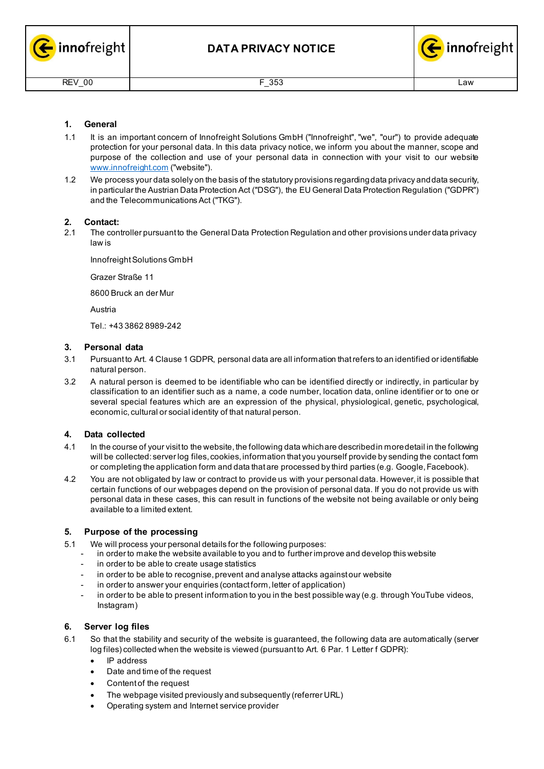



# **1. General**

- 1.1 It is an important concern of Innofreight Solutions GmbH ("Innofreight", "we", "our") to provide adequate protection for your personal data. In this data privacy notice, we inform you about the manner, scope and purpose of the collection and use of your personal data in connection with your visit to our website [www.innofreight.com](http://www.innofreight.com/) ("website").
- 1.2 We process your data solely on the basis of the statutory provisions regardingdata privacy anddata security, in particular the Austrian Data Protection Act ("DSG"), the EU General Data Protection Regulation ("GDPR") and the Telecommunications Act ("TKG").

## **2. Contact:**

2.1 The controller pursuant to the General Data Protection Regulation and other provisions under data privacy law is

Innofreight Solutions GmbH

Grazer Straße 11

8600 Bruck an der Mur

Austria

Tel.: +43 3862 8989-242

### **3. Personal data**

- 3.1 Pursuant to Art. 4 Clause 1 GDPR, personal data are all information thatrefers to an identified or identifiable natural person.
- 3.2 A natural person is deemed to be identifiable who can be identified directly or indirectly, in particular by classification to an identifier such as a name, a code number, location data, online identifier or to one or several special features which are an expression of the physical, physiological, genetic, psychological, economic, cultural or social identity of that natural person.

## **4. Data collected**

- 4.1 In the course of your visit to the website, the following data whichare describedin moredetail in the following will be collected: server log files, cookies, information that you yourself provide by sending the contact form or completing the application form and data that are processed by third parties (e.g. Google,Facebook).
- 4.2 You are not obligated by law or contract to provide us with your personal data. However, it is possible that certain functions of our webpages depend on the provision of personal data. If you do not provide us with personal data in these cases, this can result in functions of the website not being available or only being available to a limited extent.

## **5. Purpose of the processing**

- 5.1 We will process your personal details for the following purposes:
	- in order to make the website available to you and to further improve and develop this website
	- in order to be able to create usage statistics
	- in order to be able to recognise, prevent and analyse attacks against our website
	- in order to answer your enquiries (contact form, letter of application)
	- in order to be able to present information to you in the best possible way (e.g. through YouTube videos, Instagram)

## **6. Server log files**

- 6.1 So that the stability and security of the website is guaranteed, the following data are automatically (server log files) collected when the website is viewed (pursuant to Art. 6 Par. 1 Letter f GDPR):
	- IP address
	- Date and time of the request
	- Content of the request
	- The webpage visited previously and subsequently (referrer URL)
	- Operating system and Internet service provider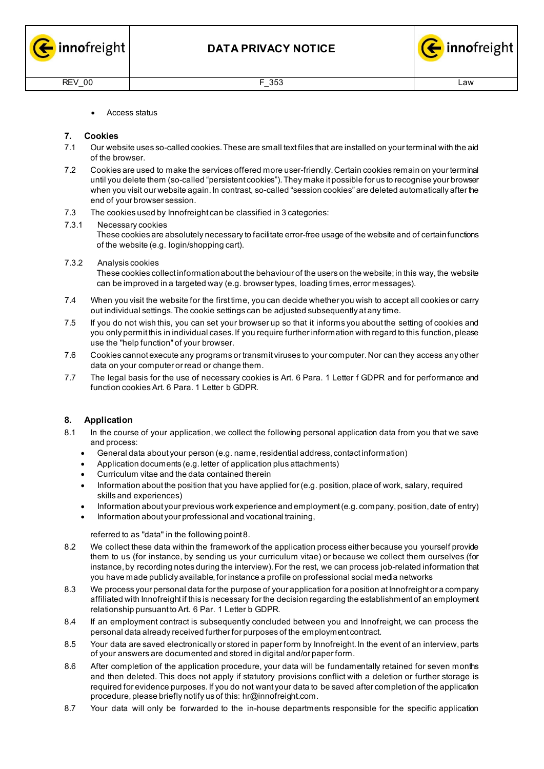



• Access status

# **7. Cookies**

- 7.1 Our website uses so-called cookies.These are small textfiles that are installed on your terminal with the aid of the browser.
- 7.2 Cookies are used to make the services offered more user-friendly.Certain cookies remain on your terminal until you delete them (so-called "persistent cookies"). They make it possible for us to recognise your browser when you visit our website again. In contrast, so-called "session cookies" are deleted automatically after the end of your browser session.
- 7.3 The cookies used by Innofreight can be classified in 3 categories:

### 7.3.1 Necessary cookies

These cookies are absolutely necessary to facilitate error-free usage of the website and of certainfunctions of the website (e.g. login/shopping cart).

7.3.2 Analysis cookies

These cookies collect information about the behaviour of the users on the website; in this way, the website can be improved in a targeted way (e.g. browser types, loading times, error messages).

- 7.4 When you visit the website for the first time, you can decide whether you wish to accept all cookies or carry out individual settings.The cookie settings can be adjusted subsequently atany time.
- 7.5 If you do not wish this, you can set your browser up so that it informs you about the setting of cookies and you only permit this in individual cases. If you require further information with regard to this function, please use the "help function" of your browser.
- 7.6 Cookies cannot execute any programs or transmit viruses to your computer.Nor can they access any other data on your computer or read or change them.
- 7.7 The legal basis for the use of necessary cookies is Art. 6 Para. 1 Letter f GDPR and for performance and function cookies Art. 6 Para. 1 Letter b GDPR.

## **8. Application**

- 8.1 In the course of your application, we collect the following personal application data from you that we save and process:
	- General data about your person (e.g. name, residential address, contact information)
	- Application documents (e.g. letter of application plus attachments)
	- Curriculum vitae and the data contained therein
	- Information about the position that you have applied for (e.g. position, place of work, salary, required skills and experiences)
	- Information about your previous work experience and employment(e.g. company, position, date of entry)
	- Information about your professional and vocational training,

### referred to as "data" in the following point 8.

- 8.2 We collect these data within the framework of the application process either because you yourself provide them to us (for instance, by sending us your curriculum vitae) or because we collect them ourselves (for instance, by recording notes during the interview). For the rest, we can process job-related information that you have made publicly available, for instance a profile on professional social media networks
- 8.3 We process your personal data for the purpose of your application for a position at Innofreight or a company affiliated with Innofreight if this is necessary for the decision regarding the establishment of an employment relationship pursuant to Art. 6 Par. 1 Letter b GDPR.
- 8.4 If an employment contract is subsequently concluded between you and Innofreight, we can process the personal data already received further for purposes of the employment contract.
- 8.5 Your data are saved electronically or stored in paper form by Innofreight. In the event of an interview, parts of your answers are documented and stored in digital and/or paper form.
- 8.6 After completion of the application procedure, your data will be fundamentally retained for seven months and then deleted. This does not apply if statutory provisions conflict with a deletion or further storage is required for evidence purposes. If you do not want your data to be saved after completion of the application procedure, please briefly notify us of this: [hr@innofreight.com.](mailto:hr@innofreight.com)
- 8.7 Your data will only be forwarded to the in-house departments responsible for the specific application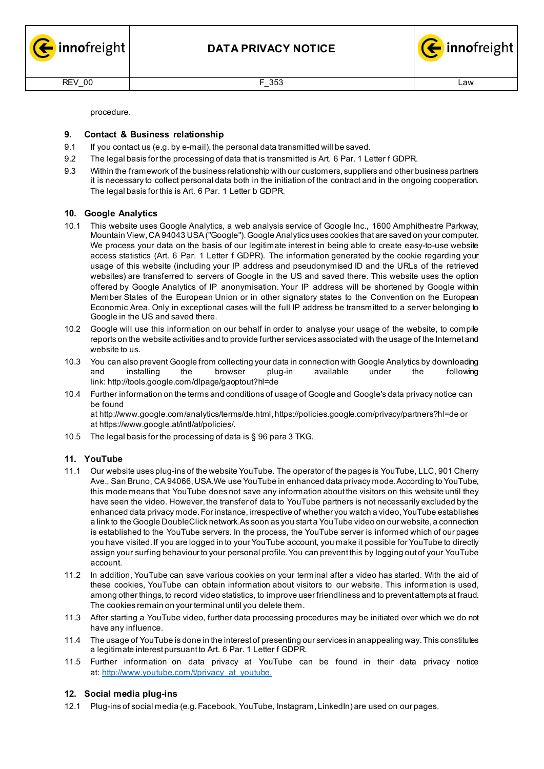



procedure.

# **9. Contact & Business relationship**

- 9.1 If you contact us (e.g. by e-mail), the personal data transmitted will be saved.
- 9.2 The legal basis for the processing of data that is transmitted is Art. 6 Par. 1 Letter f GDPR.
- 9.3 Within the framework of the business relationship with our customers, suppliers and other business partners it is necessary to collect personal data both in the initiation of the contract and in the ongoing cooperation. The legal basis for this is Art. 6 Par. 1 Letter b GDPR.

# **10. Google Analytics**

- 10.1 This website uses Google Analytics, a web analysis service of Google Inc., 1600 Amphitheatre Parkway, Mountain View,CA 94043 USA("Google").Google Analytics uses cookies that are saved on your computer. We process your data on the basis of our legitimate interest in being able to create easy-to-use website access statistics (Art. 6 Par. 1 Letter f GDPR). The information generated by the cookie regarding your usage of this website (including your IP address and pseudonymised ID and the URLs of the retrieved websites) are transferred to servers of Google in the US and saved there. This website uses the option offered by Google Analytics of IP anonymisation. Your IP address will be shortened by Google within Member States of the European Union or in other signatory states to the Convention on the European Economic Area. Only in exceptional cases will the full IP address be transmitted to a server belonging to Google in the US and saved there.
- 10.2 Google will use this information on our behalf in order to analyse your usage of the website, to compile reports on the website activities and to provide further services associated with the usage of the Internet and website to us.
- 10.3 You can also prevent Google from collecting your data in connection with Google Analytics by downloading and installing the browser plug-in available under the following link: <http://tools.google.com/dlpage/gaoptout?hl=de>
- 10.4 Further information on the terms and conditions of usage of Google and Google's data privacy notice can be found at <http://www.google.com/analytics/terms/de.html>[,https://policies.google.com/privacy/partners?hl=de](https://policies.google.com/privacy/partners?hl=de) or at [https://www.google.at/intl/at/policies/.](https://www.google.at/intl/at/policies/)
- 10.5 The legal basis for the processing of data is § 96 para 3 TKG.

# **11. YouTube**

- 11.1 Our website uses plug-ins of the website YouTube. The operator of the pages is YouTube, LLC, 901 Cherry Ave., San Bruno, CA 94066, USA.We use YouTube in enhanced data privacy mode. According to YouTube, this mode means that YouTube does not save any information about the visitors on this website until they have seen the video. However, the transfer of data to YouTube partners is not necessarily excluded by the enhanced data privacy mode. For instance, irrespective of whether you watch a video, YouTube establishes a link to the Google DoubleClick network.As soon as you start a YouTube video on our website, a connection is established to the YouTube servers. In the process, the YouTube server is informed which of our pages you have visited. If you are logged in to your YouTube account, you make it possible for YouTube to directly assign your surfing behaviour to your personal profile. You can prevent this by logging out of your YouTube account.
- 11.2 In addition, YouTube can save various cookies on your terminal after a video has started. With the aid of these cookies, YouTube can obtain information about visitors to our website. This information is used, among other things, to record video statistics, to improve user friendliness and to prevent attempts at fraud. The cookies remain on your terminal until you delete them.
- 11.3 After starting a YouTube video, further data processing procedures may be initiated over which we do not have any influence.
- 11.4 The usage of YouTube is done in the interest of presenting our services in an appealing way. This constitutes a legitimate interest pursuant to Art. 6 Par. 1 Letter f GDPR.
- 11.5 Further information on data privacy at YouTube can be found in their data privacy notice at: [http://www.youtube.com/t/privacy\\_at\\_youtube.](http://www.youtube.com/t/privacy_at_youtube)

## **12. Social media plug-ins**

12.1 Plug-ins of social media (e.g.Facebook, YouTube, Instagram, LinkedIn) are used on our pages.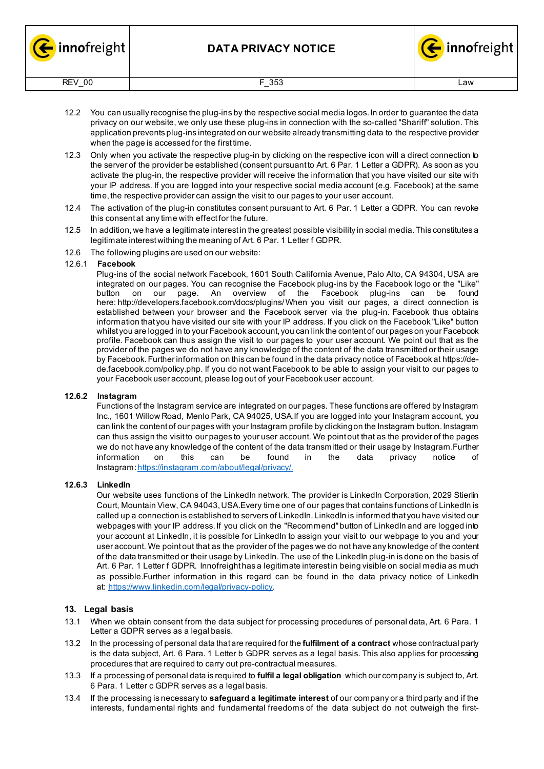



- 12.2 You can usually recognise the plug-ins by the respective social media logos. In order to guarantee the data privacy on our website, we only use these plug-ins in connection with the so-called "Shariff" solution. This application prevents plug-ins integrated on our website already transmitting data to the respective provider when the page is accessed for the first time.
- 12.3 Only when you activate the respective plug-in by clicking on the respective icon will a direct connection to the server of the provider be established (consent pursuant to Art. 6 Par. 1 Letter a GDPR). As soon as you activate the plug-in, the respective provider will receive the information that you have visited our site with your IP address. If you are logged into your respective social media account (e.g. Facebook) at the same time, the respective provider can assign the visit to our pages to your user account.
- 12.4 The activation of the plug-in constitutes consent pursuant to Art. 6 Par. 1 Letter a GDPR. You can revoke this consent at any time with effect for the future.
- 12.5 In addition, we have a legitimate interest in the greatest possible visibility in social media. This constitutes a legitimate interest withing the meaning of Art. 6 Par. 1 Letter f GDPR.
- 12.6 The following plugins are used on our website:

### 12.6.1 **Facebook**

Plug-ins of the social network Facebook, 1601 South California Avenue, Palo Alto, CA 94304, USA are integrated on our pages. You can recognise the Facebook plug-ins by the Facebook logo or the "Like" Facebook plug-ins can here: <http://developers.facebook.com/docs/plugins/>When you visit our pages, a direct connection is established between your browser and the Facebook server via the plug-in. Facebook thus obtains information that you have visited our site with your IP address. If you click on the Facebook "Like" button whilst you are logged in to your Facebook account, you can link the content of our pages on your Facebook profile. Facebook can thus assign the visit to our pages to your user account. We point out that as the provider of the pages we do not have any knowledge of the content of the data transmitted or their usage by Facebook.Further information on this can be found in the data privacy notice of Facebook at [https://de](https://de-de.facebook.com/policy.php)[de.facebook.com/policy.php.](https://de-de.facebook.com/policy.php) If you do not want Facebook to be able to assign your visit to our pages to your Facebook user account, please log out of your Facebook user account.

## **12.6.2 Instagram**

Functions of the Instagram service are integrated on our pages. These functions are offered by Instagram Inc., 1601 Willow Road, Menlo Park, CA 94025, USA.If you are logged into your Instagram account, you can link the content of our pages with your Instagram profile by clickingon the Instagram button. Instagram can thus assign the visitto our pages to your user account. We point out that as the provider of the pages we do not have any knowledge of the content of the data transmitted or their usage by Instagram.Further information on this can be found in the data privacy notice of Instagram: https://instagram.com/about/legal/privacy/.

## **12.6.3 LinkedIn**

Our website uses functions of the LinkedIn network. The provider is LinkedIn Corporation, 2029 Stierlin Court, Mountain View, CA 94043,USA.Every time one of our pages that contains functions of LinkedIn is called up a connection is established to servers of LinkedIn. LinkedIn is informed that you have visited our webpages with your IP address. If you click on the "Recommend" button of LinkedIn and are logged into your account at LinkedIn, it is possible for LinkedIn to assign your visit to our webpage to you and your user account. We point out that as the provider of the pages we do not have any knowledge of the content of the data transmitted or their usage by LinkedIn.The use of the LinkedIn plug-in is done on the basis of Art. 6 Par. 1 Letter f GDPR. Innofreight has a legitimate interest in being visible on social media as much as possible.Further information in this regard can be found in the data privacy notice of LinkedIn at: [https://www.linkedin.com/legal/privacy-policy.](https://www.linkedin.com/legal/privacy-policy)

## **13. Legal basis**

- 13.1 When we obtain consent from the data subject for processing procedures of personal data, Art. 6 Para. 1 Letter a GDPR serves as a legal basis.
- 13.2 In the processing of personal data that are required for the **fulfilment of a contract** whose contractual party is the data subject, Art. 6 Para. 1 Letter b GDPR serves as a legal basis. This also applies for processing procedures that are required to carry out pre-contractual measures.
- 13.3 If a processing of personal data is required to **fulfil a legal obligation** which our company is subject to, Art. 6 Para. 1 Letter c GDPR serves as a legal basis.
- 13.4 If the processing is necessary to **safeguard a legitimate interest** of our company or a third party and if the interests, fundamental rights and fundamental freedoms of the data subject do not outweigh the first-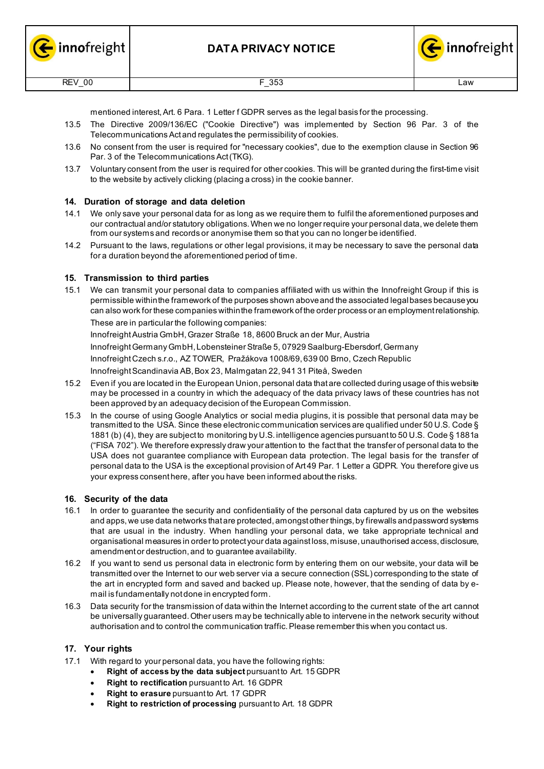



mentioned interest,Art. 6 Para. 1 Letter f GDPR serves as the legal basis for the processing.

- 13.5 The Directive 2009/136/EC ("Cookie Directive") was implemented by Section 96 Par. 3 of the Telecommunications Actand regulates the permissibility of cookies.
- 13.6 No consent from the user is required for "necessary cookies", due to the exemption clause in Section 96 Par. 3 of the Telecommunications Act(TKG).
- 13.7 Voluntary consent from the user is required for other cookies. This will be granted during the first-time visit to the website by actively clicking (placing a cross) in the cookie banner.

# **14. Duration of storage and data deletion**

- 14.1 We only save your personal data for as long as we require them to fulfil the aforementioned purposes and our contractual and/or statutory obligations. When we no longer require your personal data, we delete them from our systems and records or anonymise them so that you can no longer be identified.
- 14.2 Pursuant to the laws, regulations or other legal provisions, it may be necessary to save the personal data for a duration beyond the aforementioned period of time.

# **15. Transmission to third parties**

15.1 We can transmit your personal data to companies affiliated with us within the Innofreight Group if this is permissible withinthe framework of the purposes shown aboveand the associated legalbases becauseyou can also work for these companies withinthe framework of the order process or an employmentrelationship. These are in particular the following companies:

InnofreightAustria GmbH,Grazer Straße 18, 8600 Bruck an der Mur, Austria

InnofreightGermany GmbH, Lobensteiner Straße 5, 07929 Saalburg-Ebersdorf,Germany

InnofreightCzech s.r.o., AZ TOWER, Pražákova 1008/69, 639 00 Brno, Czech Republic

InnofreightScandinavia AB,Box 23, Malmgatan 22, 941 31 Piteå, Sweden

- 15.2 Even if you are located in the European Union, personal data that are collected during usage of this website may be processed in a country in which the adequacy of the data privacy laws of these countries has not been approved by an adequacy decision of the European Commission.
- 15.3 In the course of using Google Analytics or social media plugins, it is possible that personal data may be transmitted to the USA. Since these electronic communication services are qualified under 50 U.S. Code § 1881 (b) (4), they are subject to monitoring by U.S. intelligence agencies pursuant to 50 U.S. Code § 1881a ("FISA 702"). We therefore expressly draw your attention to the fact that the transfer of personal data to the USA does not guarantee compliance with European data protection. The legal basis for the transfer of personal data to the USA is the exceptional provision of Art 49 Par. 1 Letter a GDPR. You therefore give us your express consent here, after you have been informed about the risks.

## **16. Security of the data**

- 16.1 In order to guarantee the security and confidentiality of the personal data captured by us on the websites and apps, we use data networks that are protected, amongst other things, by firewalls and password systems that are usual in the industry. When handling your personal data, we take appropriate technical and organisational measures in order to protect your data against loss, misuse, unauthorised access, disclosure, amendment or destruction, and to guarantee availability.
- 16.2 If you want to send us personal data in electronic form by entering them on our website, your data will be transmitted over the Internet to our web server via a secure connection (SSL) corresponding to the state of the art in encrypted form and saved and backed up. Please note, however, that the sending of data by email is fundamentally not done in encrypted form.
- 16.3 Data security for the transmission of data within the Internet according to the current state of the art cannot be universally guaranteed.Other users may be technically able to intervene in the network security without authorisation and to control the communication traffic.Please remember this when you contact us.

## **17. Your rights**

- 17.1 With regard to your personal data, you have the following rights:
	- **Right of access by the data subject** pursuant to Art. 15 GDPR
	- **Right to rectification** pursuant to Art. 16 GDPR
	- **Right to erasure** pursuant to Art. 17 GDPR
	- **Right to restriction of processing** pursuant to Art. 18 GDPR